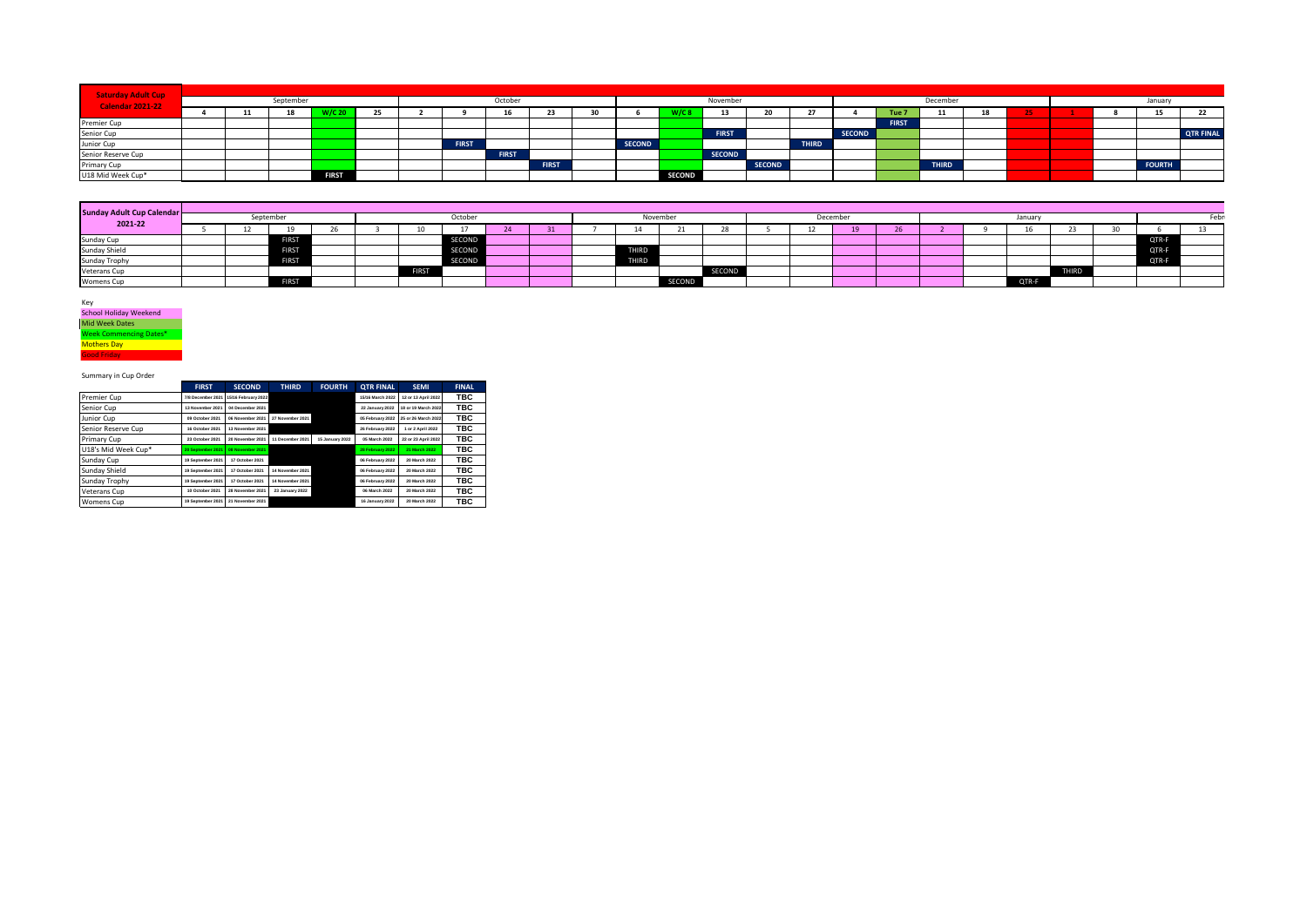| <b>Saturday Adult Cup</b> |           |  |  |              |  |              |              |              |    |               |               |               |               |              |               |                  |              |     |  |        |  |               |                  |
|---------------------------|-----------|--|--|--------------|--|--------------|--------------|--------------|----|---------------|---------------|---------------|---------------|--------------|---------------|------------------|--------------|-----|--|--------|--|---------------|------------------|
| <b>Calendar 2021-22</b>   | September |  |  |              |  | October      |              |              |    |               |               | November      |               |              | December      |                  |              |     |  | Januan |  |               |                  |
|                           |           |  |  |              |  |              | 16           | 23           | 30 |               |               | 13            |               |              |               | Tue <sub>7</sub> | 11<br>       | -10 |  |        |  |               | -22              |
| Premier Cup               |           |  |  |              |  |              |              |              |    |               |               |               |               |              |               | <b>FIRST</b>     |              |     |  |        |  |               |                  |
| Senior Cup                |           |  |  |              |  |              |              |              |    |               |               | <b>FIRST</b>  |               |              | <b>SECOND</b> |                  |              |     |  |        |  |               | <b>QTR FINAL</b> |
| Junior Cup                |           |  |  |              |  | <b>FIRST</b> |              |              |    | <b>SECOND</b> |               |               |               | <b>THIRD</b> |               |                  |              |     |  |        |  |               |                  |
| Senior Reserve Cup        |           |  |  |              |  |              | <b>FIRST</b> |              |    |               |               | <b>SECOND</b> |               |              |               |                  |              |     |  |        |  |               |                  |
| Primary Cup               |           |  |  |              |  |              |              | <b>FIRST</b> |    |               |               |               | <b>SECOND</b> |              |               |                  | <b>THIRD</b> |     |  |        |  | <b>FOURTH</b> |                  |
| U18 Mid Week Cup*         |           |  |  | <b>FIRST</b> |  |              |              |              |    |               | <b>SECOND</b> |               |               |              |               |                  |              |     |  |        |  |               |                  |

| Sunday Adult Cup Calendar<br>2021-22 |           |  |              |  |         |              |               |  |          |       |               |         |  |  |    |        |  |  |       |              |  |       |  |
|--------------------------------------|-----------|--|--------------|--|---------|--------------|---------------|--|----------|-------|---------------|---------|--|--|----|--------|--|--|-------|--------------|--|-------|--|
|                                      | September |  |              |  | October |              |               |  | November |       |               | Decembe |  |  |    | Januar |  |  |       |              |  |       |  |
|                                      |           |  |              |  |         |              |               |  | - 31     |       |               |         |  |  | 19 |        |  |  |       |              |  |       |  |
| Sunday Cup                           |           |  |              |  |         |              | SECOND        |  |          |       |               |         |  |  |    |        |  |  |       |              |  | QTR-F |  |
| <b>Sunday Shield</b>                 |           |  | <b>FIKSI</b> |  |         |              | <b>SECOND</b> |  |          | IIRD  |               |         |  |  |    |        |  |  |       |              |  | QTR-F |  |
| Sunday Trophy                        |           |  | <b>FIRST</b> |  |         |              | SECOND        |  |          | THIRD |               |         |  |  |    |        |  |  |       |              |  | OTR-F |  |
| <b>Veterans Cup</b>                  |           |  |              |  |         | <b>FIRST</b> |               |  |          |       |               | SECOND  |  |  |    |        |  |  |       | <b>THIRD</b> |  |       |  |
| <b>Womens Cup</b>                    |           |  | <b>FIRST</b> |  |         |              |               |  |          |       | <b>SECOND</b> |         |  |  |    |        |  |  | QTR-F |              |  |       |  |

Key School Holiday Weekend **Mid Week Dates** Week Commencing Dates\* Mothers Day **Good Friday** 

Summary in Cup Order

|                     | <b>FIRST</b>      | <b>SECOND</b>       | <b>THIRD</b>     | <b>FOURTH</b>   | <b>OTR FINAL</b> | <b>SEMI</b>         | <b>FINAL</b> |
|---------------------|-------------------|---------------------|------------------|-----------------|------------------|---------------------|--------------|
| Premier Cup         | 7/8 December 2021 | 15/16 February 2022 |                  |                 | 15/16 March 2022 | 12 or 13 April 2022 | твс          |
| Senior Cup          | 13 November 2021  | 04 December 2021    |                  |                 | 22 January 2022  | 18 or 19 March 2022 | TBC          |
| Junior Cup          | 09 October 2021   | 06 November 2021    | 27 November 2021 |                 | 05 February 2022 | 25 or 26 March 2022 | ТВС          |
| Senior Reserve Cup  | 16 October 2021   | 13 November 2021    |                  |                 | 26 February 2022 | 1 or 2 April 2022   | TBC          |
| Primary Cup         | 23 October 2021   | 20 November 2021    | 11 December 2021 | 15 January 2022 | 05 March 2022    | 22 or 23 April 2022 | TBC          |
| U18's Mid Week Cup* | 20 September 2021 | 08 November 2021    |                  |                 | 28 February 2022 | 21 March 2022       | TBC          |
| Sunday Cup          | 19 September 2021 | 17 October 2021     |                  |                 | 06 February 2022 | 20 March 2022       | TBC          |
| Sunday Shield       | 19 September 2021 | 17 October 2021     | 14 November 2021 |                 | 06 February 2022 | 20 March 2022       | твс          |
| Sunday Trophy       | 19 September 2021 | 17 October 2021     | 14 November 2021 |                 | 06 February 2022 | 20 March 2022       | TBC          |
| Veterans Cup        | 10 October 2021   | 28 November 2021    | 23 January 2022  |                 | 06 March 2022    | 20 March 2022       | ТВС          |
| <b>Womens Cup</b>   | 19 September 2021 | 21 November 2021    |                  |                 | 16 January 2022  | 20 March 2022       | твс          |